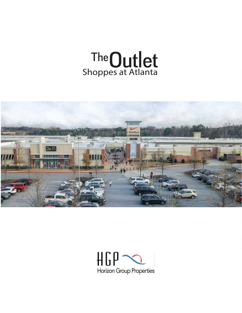



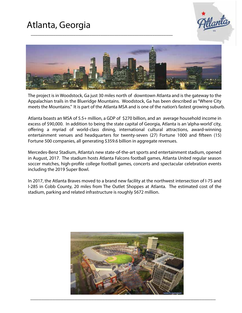



\_\_\_\_\_\_\_\_\_\_\_\_\_\_\_\_\_\_\_\_\_\_\_\_\_\_\_\_\_\_\_\_\_\_\_\_\_\_\_\_\_\_\_\_\_\_\_\_\_\_\_\_\_\_\_\_\_\_\_\_\_\_\_

The project is in Woodstock, Ga just 30 miles north of downtown Atlanta and is the gateway to the Appalachian trails in the Blueridge Mountains. Woodstock, Ga has been described as "Where City meets the Mountains." It is part of the Atlanta MSA and is one of the nation's fastest growing suburb.

Atlanta boasts an MSA of 5.5+ million, a GDP of \$270 billion, and an average household income in excess of \$90,000. In addition to being the state capital of Georgia, Atlanta is an 'alpha-world' city, offering a myriad of world-class dining, international cultural attractions, award-winning entertainment venues and headquarters for twenty-seven (27) Fortune 1000 and fifteen (15) Fortune 500 companies, all generating \$359.6 billion in aggregate revenues.

Mercedes-Benz Stadium, Atlanta's new state-of-the-art sports and entertainment stadium, opened in August, 2017. The stadium hosts Atlanta Falcons football games, Atlanta United regular season soccer matches, high-profile college football games, concerts and spectacular celebration events including the 2019 Super Bowl.

In 2017, the Atlanta Braves moved to a brand new facility at the northwest intersection of I-75 and I-285 in Cobb County, 20 miles from The Outlet Shoppes at Atlanta. The estimated cost of the stadium, parking and related infrastructure is roughly \$672 million.

![](_page_1_Picture_7.jpeg)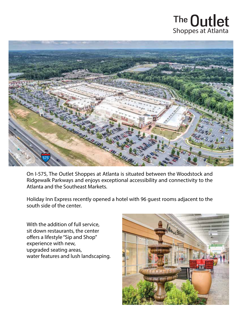## The **Outlet**<br>Shoppes at Atlanta

![](_page_2_Picture_1.jpeg)

On I-575, The Outlet Shoppes at Atlanta is situated between the Woodstock and Ridgewalk Parkways and enjoys exceptional accessibility and connectivity to the Atlanta and the Southeast Markets.

Holiday Inn Express recently opened a hotel with 96 guest rooms adjacent to the south side of the center.

With the addition of full service, sit down restaurants, the center offers a lifestyle "Sip and Shop" experience with new, upgraded seating areas, . water features and lush landscaping.

![](_page_2_Picture_5.jpeg)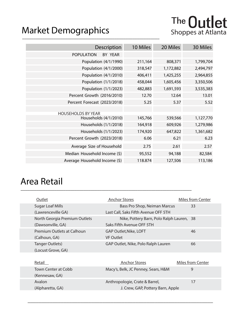#### \_\_\_\_\_\_\_\_\_\_\_\_\_\_\_\_\_\_\_\_\_\_\_\_\_\_\_\_\_\_\_\_\_\_\_\_\_\_\_\_\_\_\_\_\_\_\_\_\_\_\_\_\_\_\_\_\_\_\_\_\_ Market Demographics Shoppes at Atlanta

| Description                   | 10 Miles | 20 Miles  | 30 Miles  |
|-------------------------------|----------|-----------|-----------|
| <b>POPULATION</b><br>BY YEAR  |          |           |           |
| Population (4/1/1990)         | 211,164  | 808,371   | 1,799,704 |
| Population (4/1/2000)         | 318,547  | 1,172,882 | 2,494,797 |
| Population (4/1/2010)         | 406,411  | 1,425,255 | 2,964,855 |
| Population (1/1/2018)         | 458,044  | 1,605,456 | 3,350,506 |
| Population (1/1/2023)         | 482,883  | 1,691,593 | 3,535,383 |
| Percent Growth (2016/2010)    | 12.70    | 12.64     | 13.01     |
| Percent Forecast (2023/2018)  | 5.25     | 5.37      | 5.52      |
| <b>HOUSEHOLDS BY YEAR</b>     |          |           |           |
| Households (4/1/2010)         | 145,766  | 539,566   | 1,127,770 |
| Households (1/1/2018)         | 164,918  | 609,926   | 1,279,986 |
| Households (1/1/2023)         | 174,920  | 647,822   | 1,361,682 |
| Percent Growth (2023/2018)    | 6.06     | 6.21      | 6.23      |
| Average Size of Household     | 2.75     | 2.61      | 2.57      |
| Median Household Income (\$)  | 95,552   | 94,188    | 82,584    |
| Average Household Income (\$) | 118.874  | 127,506   | 113,186   |

#### Area Retail \_\_\_\_\_\_\_\_\_\_\_\_\_\_\_\_\_\_\_\_\_\_\_\_\_\_\_\_\_\_\_\_\_\_\_\_\_\_\_\_\_\_\_\_\_\_\_\_\_\_\_\_\_\_\_\_\_\_\_\_\_\_\_\_\_\_\_\_\_\_\_\_\_\_\_\_

| Outlet                        | <b>Anchor Stores</b>                      | <b>Miles from Center</b> |
|-------------------------------|-------------------------------------------|--------------------------|
| <b>Sugar Loaf Mills</b>       | Bass Pro Shop, Neiman Marcus              | 33                       |
| (Lawrenceville GA)            | Last Call, Saks Fifth Avenue OFF 5TH      |                          |
| North Georgia Premium Outlets | Nike, Pottery Barn, Polo Ralph Lauren, 38 |                          |
| (Dawsonville, GA)             | Saks Fifth Avenue OFF 5TH                 |                          |
| Premium Outlets at Calhoun    | GAP Outlet, Nike, LOFT                    | 46                       |
| (Calhoun, GA)                 | <b>VF Outlet</b>                          |                          |
| Tanger Outlets)               | GAP Outlet, Nike, Polo Ralph Lauren       | 66                       |
| (Locust Grove, GA)            |                                           |                          |
|                               |                                           |                          |
| Retail                        | <b>Anchor Stores</b>                      | <b>Miles from Center</b> |
| Town Center at Cobb           | Macy's, Belk, JC Penney, Sears, H&M       | 9                        |
| (Kennesaw, GA)                |                                           |                          |
| Avalon                        | Anthropologie, Crate & Barrel,            | 17                       |
| (Alpharetta, GA)              | J. Crew, GAP, Pottery Barn, Apple         |                          |
|                               |                                           |                          |

\_\_\_\_\_\_\_\_\_\_\_\_\_\_\_\_\_\_\_\_\_\_\_\_\_\_\_\_\_\_\_\_\_\_\_\_\_\_\_\_\_\_\_\_\_\_\_\_\_\_\_\_\_\_\_\_\_\_\_\_\_\_\_\_\_\_\_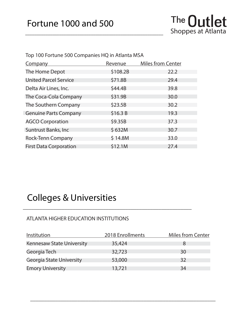\_\_\_\_\_\_\_\_\_\_\_\_\_\_\_\_\_\_\_\_\_\_\_\_\_\_\_\_\_\_\_\_\_\_\_\_\_\_\_\_\_\_\_\_\_\_\_\_\_\_\_\_\_\_\_\_\_\_\_\_\_

| Top 100 Fortune 500 Companies HQ in Atlanta MSA |          |                          |  |
|-------------------------------------------------|----------|--------------------------|--|
| Company                                         | Revenue  | <b>Miles from Center</b> |  |
| The Home Depot                                  | \$108.2B | 22.2                     |  |
| <b>United Parcel Service</b>                    | \$71.8B  | 29.4                     |  |
| Delta Air Lines, Inc.                           | \$44.4B  | 39.8                     |  |
| The Coca-Cola Company                           | \$31.9B  | 30.0                     |  |
| The Southern Company                            | \$23.5B  | 30.2                     |  |
| <b>Genuine Parts Company</b>                    | \$16.3 B | 19.3                     |  |
| <b>AGCO Corporation</b>                         | \$9.35B  | 37.3                     |  |
| <b>Suntrust Banks, Inc.</b>                     | \$632M   | 30.7                     |  |
| <b>Rock-Tenn Company</b>                        | \$14.8M  | 33.0                     |  |
| <b>First Data Corporation</b>                   | \$12.1M  | 27.4                     |  |

### Colleges & Universities

#### ATLANTA HIGHER EDUCATION INSTITUTIONS

| Institution                      | 2018 Enrollments | <b>Miles from Center</b> |
|----------------------------------|------------------|--------------------------|
| <b>Kennesaw State University</b> | 35,424           |                          |
| Georgia Tech                     | 32,723           | 30                       |
| Georgia State University         | 53,000           | 32                       |
| <b>Emory University</b>          | 13,721           | 34                       |

\_\_\_\_\_\_\_\_\_\_\_\_\_\_\_\_\_\_\_\_\_\_\_\_\_\_\_\_\_\_\_\_\_\_\_\_\_\_\_\_\_\_\_\_\_\_\_\_\_\_\_\_\_\_\_\_\_\_\_\_\_

\_\_\_\_\_\_\_\_\_\_\_\_\_\_\_\_\_\_\_\_\_\_\_\_\_\_\_\_\_\_\_\_\_\_\_\_\_\_\_\_\_\_\_\_\_\_\_\_\_\_\_\_\_\_\_\_\_\_\_\_\_\_\_\_\_\_\_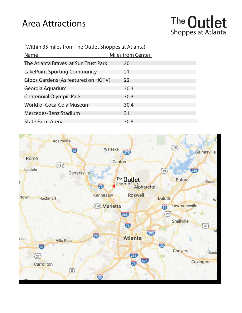![](_page_5_Picture_1.jpeg)

(Within 35 miles from The Outlet Shoppes at Atlanta)

\_\_\_\_\_\_\_\_\_\_\_\_\_\_\_\_\_\_\_\_\_\_\_\_\_\_\_\_\_\_\_\_\_\_\_\_\_\_\_\_\_\_\_\_\_\_\_\_\_\_\_\_\_\_\_\_\_\_\_\_\_

| <b>Name</b>                          | <b>Miles from Center</b> |
|--------------------------------------|--------------------------|
| The Atlanta Braves at Sun Trust Park | 20                       |
| LakePoint Sporting Community         | 21                       |
| Gibbs Gardens (As featured on HGTV)  | 22                       |
| Georgia Aquarium                     | 30.3                     |
| <b>Centennial Olympic Park</b>       | 30.3                     |
| World of Coca-Cola Museum            | 30.4                     |
| Mercedes-Benz Stadium                | 31                       |
| <b>State Farm Arena</b>              | 30.8                     |

![](_page_5_Picture_4.jpeg)

\_\_\_\_\_\_\_\_\_\_\_\_\_\_\_\_\_\_\_\_\_\_\_\_\_\_\_\_\_\_\_\_\_\_\_\_\_\_\_\_\_\_\_\_\_\_\_\_\_\_\_\_\_\_\_\_\_\_\_\_\_\_\_\_\_\_\_